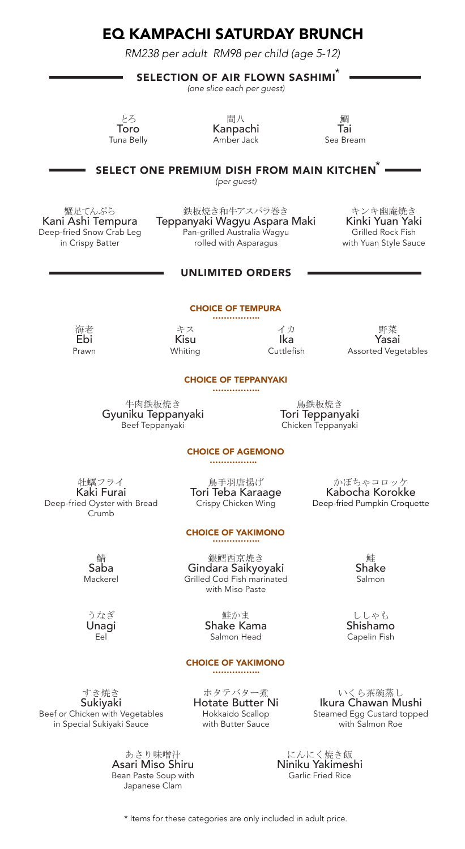# EQ KAMPACHI SATURDAY BRUNCH

RM218 per adult *RM238 per adult RM98 per child (age 5-12)* 

## SELECTION OF AIR FLOWN SASHIMI $\check{\ }$

(one slice each per guest)

とろ おおとこ 間八 かいかん かいかく 鯛 Toro Kanpachi Tai Amber Jack

SELECT ONE PREMIUM DISH FROM MAIN KITCHEN $^{*}$ 

(per guest)

蟹足てんぷら まちゃんのちゃんのものがある。 鉄板焼き和牛アスパラ巻き キンキ幽庵焼き キンキ幽庵焼き まんぷら まんじょう しょうしょう きんじょう Kani Ashi Tempura Teppanyaki Wagyu Aspara Maki Kinki Yuan Yaki -fried Snow Crab Leg **Pan-grilled Australia Wagyu** Grilled Rock Fish<br>in Crispy Batter **Pan-grilled with Asparagus** With Yuan Style Sauce rolled with Asparagus

### UnlimiteD orDers

# ChoiCe of tempUra CHOICE OF TEMPURA ……………..

海老 Ebi Prawn

キス Kisu Whiting

イカ Ika Cuttlefish

野菜 Yasai Assorted Vegetables

#### ChoiCe of teppanyaki CHOICE OF TEPPANYAKI ………………

牛肉鉄板焼き Gyuniku Teppanyaki Beef Teppanyaki

鳥鉄板焼き Tori Teppanyaki Chicken Teppanyaki

#### ChoiCe of Deep-fried items and the Deep-fried items of Deep-fried items and the Deep-fried items of Deep-fried **CHOICE OF AGEMONO**

牡蠣フライ Kaki Furai Deep-fried Oyster with Bread Crumb

鳥手羽唐揚げ Tori Teba Karaage Crispy Chicken Wing

CHOICE OF YAKIMONO<br>……………… 銀鱈西京焼き

Gindara Saikyoyaki Grilled Cod Fish marinated with Miso Paste

鯖 Saba Mackerel

うなぎ Unagi Eel

鮭かま Shake Kama

Salmon Head

### **CHOICE OF YAKIMONO**

. . . . . . . . . . . . . . . . .

すき焼き Sukiyaki Beef or Chicken with Vegetables in Special Sukiyaki Sauce

> あさり味噌汁 Asari Miso Shiru Bean Paste Soup with Japanese Clam

ホタテバター煮 Hotate Butter Ni Hokkaido Scallop with Butter Sauce

いくら茶碗蒸し Ikura Chawan Mushi Steamed Egg Custard topped with Salmon Roe

にんにく焼き飯 Niniku Yakimeshi Garlic Fried Rice

 $^{\star}$  Items for these categories are only included in adult price.

鮭 Shake Salmon

かぼちゃコロッケ Kabocha Korokke Deep-fried Pumpkin Croquette

> ししゃも Shishamo Capelin Fish